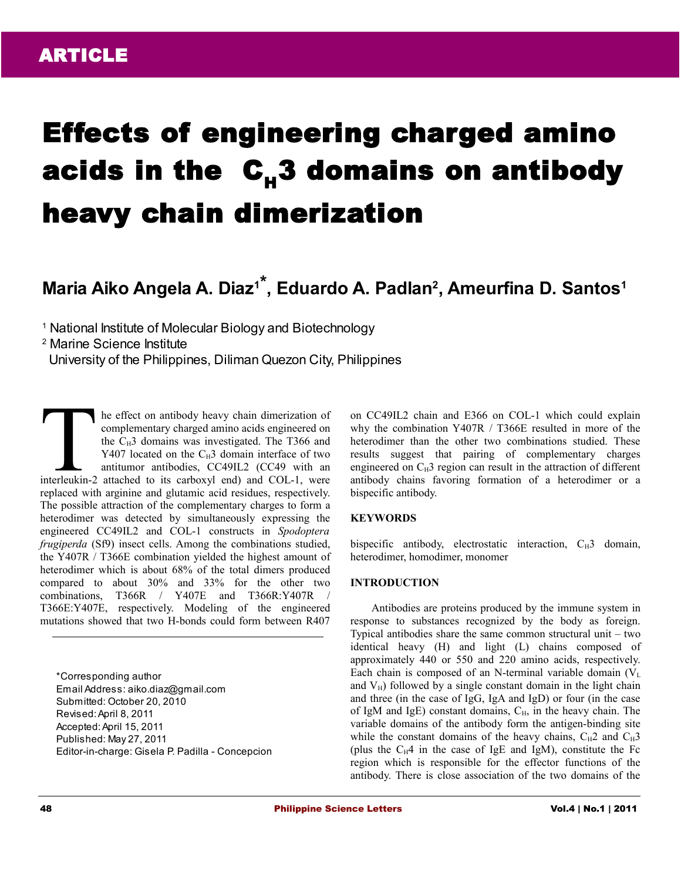# Effects of engineering charged amino acids in the  $C_{\mu}3$  domains on antibody heavy chain dimerization

# **Maria Aiko Angela A. Diaz1\* , Eduardo A. Padlan<sup>2</sup> , Ameurfina D. Santos<sup>1</sup>**

<sup>1</sup> National Institute of Molecular Biology and Biotechnology

2 Marine Science Institute

University of the Philippines, Diliman Quezon City, Philippines

he effect on antibody heavy chain dimerization of complementary charged amino acids engineered on the  $C_H3$  domains was investigated. The T366 and Y407 located on the  $C_H3$  domain interface of two antitumor antibodies, CC49IL2 (CC49 with an Interlect on antibody heavy chain dimerization of<br>complementary charged amino acids engineered on<br>the C<sub>H</sub>3 domains was investigated. The T366 and<br>Y407 located on the C<sub>H</sub>3 domain interface of two<br>antitumor antibodies, CC4 replaced with arginine and glutamic acid residues, respectively. The possible attraction of the complementary charges to form a heterodimer was detected by simultaneously expressing the engineered CC49IL2 and COL-1 constructs in *Spodoptera frugiperda* (Sf9) insect cells. Among the combinations studied, the Y407R / T366E combination yielded the highest amount of heterodimer which is about 68% of the total dimers produced compared to about 30% and 33% for the other two combinations, T366R / Y407E and T366R:Y407R / T366E:Y407E, respectively. Modeling of the engineered mutations showed that two H-bonds could form between R407

\*Corresponding author Email Address: aiko.diaz@gmail.com Submitted: October 20, 2010 Revised: April 8, 2011 Accepted: April 15, 2011 Published: May 27, 2011 Editor-in-charge: Gisela P. Padilla - Concepcion on CC49IL2 chain and E366 on COL-1 which could explain why the combination Y407R / T366E resulted in more of the heterodimer than the other two combinations studied. These results suggest that pairing of complementary charges engineered on  $C_H$ 3 region can result in the attraction of different antibody chains favoring formation of a heterodimer or a bispecific antibody.

#### **KEYWORDS**

bispecific antibody, electrostatic interaction,  $C_H3$  domain, heterodimer, homodimer, monomer

# **INTRODUCTION**

Antibodies are proteins produced by the immune system in response to substances recognized by the body as foreign. Typical antibodies share the same common structural unit – two identical heavy (H) and light (L) chains composed of approximately 440 or 550 and 220 amino acids, respectively. Each chain is composed of an N-terminal variable domain  $(V<sub>L</sub>)$ and  $V_H$ ) followed by a single constant domain in the light chain and three (in the case of IgG, IgA and IgD) or four (in the case of IgM and IgE) constant domains,  $C_H$ , in the heavy chain. The variable domains of the antibody form the antigen-binding site while the constant domains of the heavy chains,  $C_H2$  and  $C_H3$ (plus the  $C_H4$  in the case of IgE and IgM), constitute the Fc region which is responsible for the effector functions of the antibody. There is close association of the two domains of the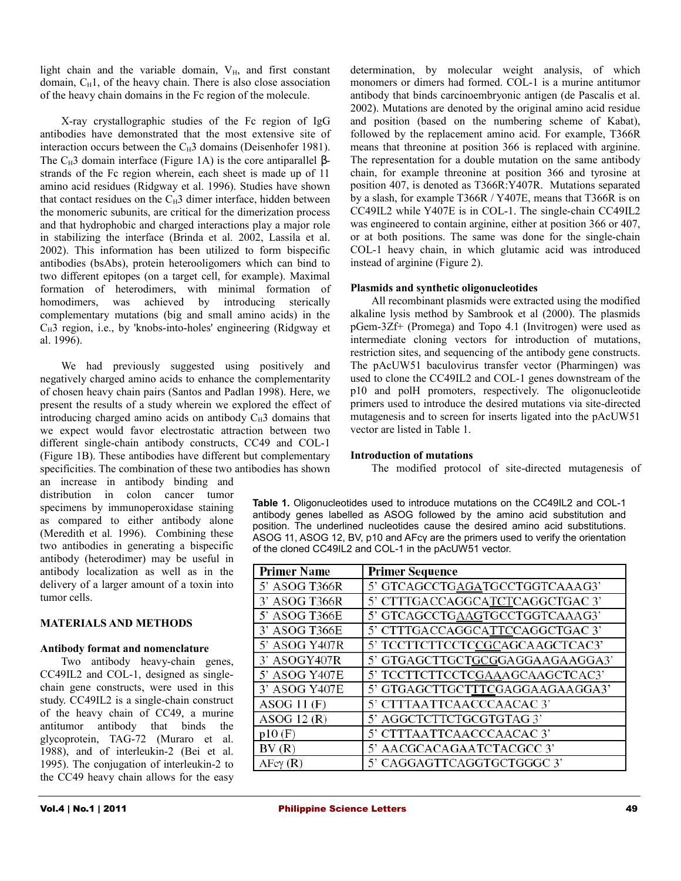light chain and the variable domain,  $V_H$ , and first constant domain,  $C_H1$ , of the heavy chain. There is also close association of the heavy chain domains in the Fc region of the molecule.

X-ray crystallographic studies of the Fc region of IgG antibodies have demonstrated that the most extensive site of interaction occurs between the  $C_H3$  domains (Deisenhofer 1981). The  $C_H$ 3 domain interface (Figure 1A) is the core antiparallel  $\beta$ strands of the Fc region wherein, each sheet is made up of 11 amino acid residues (Ridgway et al. 1996). Studies have shown that contact residues on the  $C_H3$  dimer interface, hidden between the monomeric subunits, are critical for the dimerization process and that hydrophobic and charged interactions play a major role in stabilizing the interface (Brinda et al. 2002, Lassila et al. 2002). This information has been utilized to form bispecific antibodies (bsAbs), protein heterooligomers which can bind to two different epitopes (on a target cell, for example). Maximal formation of heterodimers, with minimal formation of homodimers, was achieved by introducing sterically complementary mutations (big and small amino acids) in the  $C_H$ 3 region, i.e., by 'knobs-into-holes' engineering (Ridgway et al. 1996).

We had previously suggested using positively and negatively charged amino acids to enhance the complementarity of chosen heavy chain pairs (Santos and Padlan 1998). Here, we present the results of a study wherein we explored the effect of introducing charged amino acids on antibody  $C_H3$  domains that we expect would favor electrostatic attraction between two different single-chain antibody constructs, CC49 and COL-1 (Figure 1B). These antibodies have different but complementary specificities. The combination of these two antibodies has shown

an increase in antibody binding and distribution in colon cancer tumor specimens by immunoperoxidase staining as compared to either antibody alone (Meredith et al*.* 1996). Combining these two antibodies in generating a bispecific antibody (heterodimer) may be useful in antibody localization as well as in the delivery of a larger amount of a toxin into tumor cells.

# **MATERIALS AND METHODS**

#### **Antibody format and nomenclature**

Two antibody heavy-chain genes, CC49IL2 and COL-1, designed as singlechain gene constructs, were used in this study. CC49IL2 is a single-chain construct of the heavy chain of CC49, a murine antitumor antibody that binds the glycoprotein, TAG-72 (Muraro et al. 1988), and of interleukin-2 (Bei et al. 1995). The conjugation of interleukin-2 to the CC49 heavy chain allows for the easy determination, by molecular weight analysis, of which monomers or dimers had formed. COL-1 is a murine antitumor antibody that binds carcinoembryonic antigen (de Pascalis et al. 2002). Mutations are denoted by the original amino acid residue and position (based on the numbering scheme of Kabat), followed by the replacement amino acid. For example, T366R means that threonine at position 366 is replaced with arginine. The representation for a double mutation on the same antibody chain, for example threonine at position 366 and tyrosine at position 407, is denoted as T366R:Y407R. Mutations separated by a slash, for example T366R / Y407E, means that T366R is on CC49IL2 while Y407E is in COL-1. The single-chain CC49IL2 was engineered to contain arginine, either at position 366 or 407, or at both positions. The same was done for the single-chain COL-1 heavy chain, in which glutamic acid was introduced instead of arginine (Figure 2).

#### **Plasmids and synthetic oligonucleotides**

All recombinant plasmids were extracted using the modified alkaline lysis method by Sambrook et al (2000). The plasmids pGem-3Zf+ (Promega) and Topo 4.1 (Invitrogen) were used as intermediate cloning vectors for introduction of mutations, restriction sites, and sequencing of the antibody gene constructs. The pAcUW51 baculovirus transfer vector (Pharmingen) was used to clone the CC49IL2 and COL-1 genes downstream of the p10 and polH promoters, respectively. The oligonucleotide primers used to introduce the desired mutations via site-directed mutagenesis and to screen for inserts ligated into the pAcUW51 vector are listed in Table 1.

#### **Introduction of mutations**

The modified protocol of site-directed mutagenesis of

**Table 1.** Oligonucleotides used to introduce mutations on the CC49IL2 and COL-1 antibody genes labelled as ASOG followed by the amino acid substitution and position. The underlined nucleotides cause the desired amino acid substitutions. ASOG 11, ASOG 12, BV, p10 and AFcγ are the primers used to verify the orientation of the cloned CC49IL2 and COL-1 in the pAcUW51 vector.

| <b>Primer Name</b>  | <b>Primer Sequence</b>          |
|---------------------|---------------------------------|
| 5' ASOG T366R       | 5' GTCAGCCTGAGATGCCTGGTCAAAG3'  |
| 3' ASOG T366R       | 5' CTTTGACCAGGCATCTCAGGCTGAC 3' |
| 5' ASOG T366E       | 5' GTCAGCCTGAAGTGCCTGGTCAAAG3'  |
| 3' ASOG T366E       | 5' CTTTGACCAGGCATTCCAGGCTGAC 3' |
| 5' ASOG Y407R       | 5' TCCTTCTTCCTCCGCAGCAAGCTCAC3' |
| 3' ASOGY407R        | 5' GTGAGCTTGCTGCGGAGGAAGAAGGA3' |
| 5' ASOG Y407E       | 5' TCCTTCTTCCTCGAAAGCAAGCTCAC3' |
| 3' ASOG Y407E       | 5' GTGAGCTTGCTTTCGAGGAAGAAGGA3' |
| ASOG 11 $(F)$       | 5' CTTTAATTCAACCCAACAC 3'       |
| ASOG 12 $(R)$       | 5' AGGCTCTTCTGCGTGTAG 3'        |
| p10(F)              | 5' CTTTAATTCAACCCAACAC 3'       |
| BV(R)               | 5' AACGCACAGAATCTACGCC 3'       |
| $A$ Fe $\gamma$ (R) | 5' CAGGAGTTCAGGTGCTGGGC 3'      |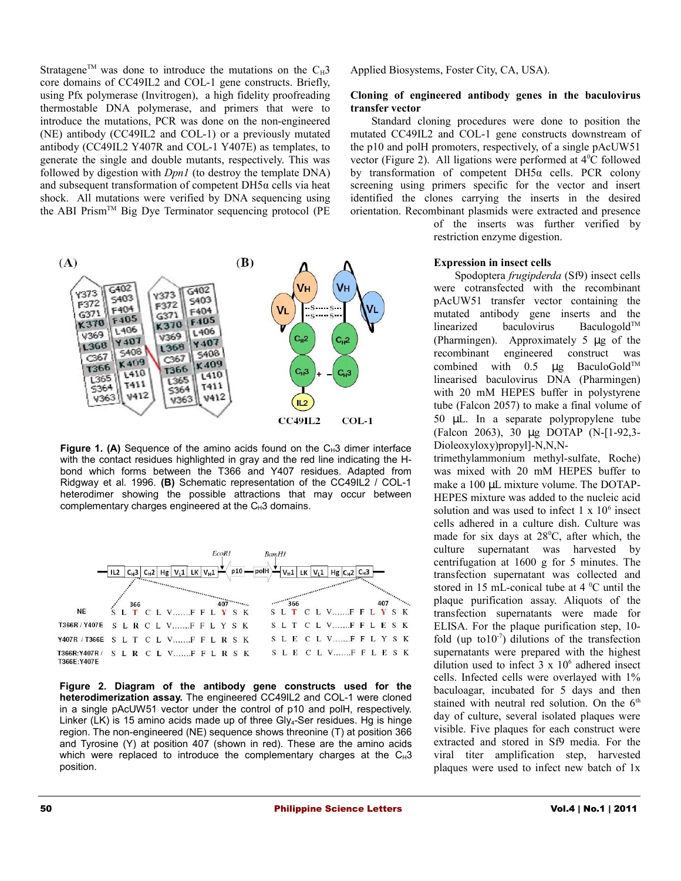Stratagene<sup>TM</sup> was done to introduce the mutations on the  $C_H$ 3 core domains of CC49IL2 and COL-1 gene constructs. Briefly, using Pfx polymerase (Invitrogen), a high fidelity proofreading thermostable DNA polymerase, and primers that were to introduce the mutations, PCR was done on the non-engineered (NE) antibody (CC49IL2 and COL-1) or a previously mutated antibody (CC49IL2 Y407R and COL-1 Y407E) as templates, to generate the single and double mutants, respectively. This was followed by digestion with *Dpn1* (to destroy the template DNA) and subsequent transformation of competent DH5α cells via heat shock. All mutations were verified by DNA sequencing using the ABI Prism<sup>TM</sup> Big Dye Terminator sequencing protocol (PE)



**Figure 1. (A)** Sequence of the amino acids found on the  $C_H3$  dimer interface with the contact residues highlighted in gray and the red line indicating the Hbond which forms between the T366 and Y407 residues. Adapted from Ridgway et al*.* 1996. **(B)** Schematic representation of the CC49IL2 / COL-1 heterodimer showing the possible attractions that may occur between complementary charges engineered at the  $C_H3$  domains.



**Figure 2. Diagram of the antibody gene constructs used for the heterodimerization assay.** The engineered CC49IL2 and COL-1 were cloned in a single pAcUW51 vector under the control of p10 and polH, respectively. Linker (LK) is 15 amino acids made up of three Gly<sub>4</sub>-Ser residues. Hg is hinge region. The non-engineered (NE) sequence shows threonine (T) at position 366 and Tyrosine (Y) at position 407 (shown in red). These are the amino acids which were replaced to introduce the complementary charges at the  $C_H3$ position.

Applied Biosystems, Foster City, CA, USA).

#### **Cloning of engineered antibody genes in the baculovirus transfer vector**

Standard cloning procedures were done to position the mutated CC49IL2 and COL-1 gene constructs downstream of the p10 and polH promoters, respectively, of a single pAcUW51 vector (Figure 2). All ligations were performed at  $4^{\circ}$ C followed by transformation of competent DH5α cells. PCR colony screening using primers specific for the vector and insert identified the clones carrying the inserts in the desired orientation. Recombinant plasmids were extracted and presence

> of the inserts was further verified by restriction enzyme digestion.

### **Expression in insect cells**

Spodoptera *frugipderda* (Sf9) insect cells were cotransfected with the recombinant pAcUW51 transfer vector containing the mutated antibody gene inserts and the linearized baculovirus Baculogold<sup>TM</sup> (Pharmingen). Approximately 5 µg of the recombinant engineered construct was combined with  $0.5$  µg BaculoGold<sup>™</sup> linearised baculovirus DNA (Pharmingen) with 20 mM HEPES buffer in polystyrene tube (Falcon 2057) to make a final volume of 50 µL. In a separate polypropylene tube (Falcon 2063), 30 µg DOTAP (N-[1-92,3- Dioleoxyloxy)propyl]-N,N,N-

trimethylammonium methyl-sulfate, Roche) was mixed with 20 mM HEPES buffer to make a 100 µL mixture volume. The DOTAP-HEPES mixture was added to the nucleic acid solution and was used to infect  $1 \times 10^6$  insect cells adhered in a culture dish. Culture was made for six days at  $28^{\circ}$ C, after which, the culture supernatant was harvested by centrifugation at 1600 g for 5 minutes. The transfection supernatant was collected and stored in 15 mL-conical tube at  $4^{\circ}$ C until the plaque purification assay. Aliquots of the transfection supernatants were made for ELISA. For the plaque purification step, 10 fold (up to  $10^{-7}$ ) dilutions of the transfection supernatants were prepared with the highest dilution used to infect  $3 \times 10^6$  adhered insect cells. Infected cells were overlayed with 1% baculoagar, incubated for 5 days and then stained with neutral red solution. On the  $6<sup>th</sup>$ day of culture, several isolated plaques were visible. Five plaques for each construct were extracted and stored in Sf9 media. For the viral titer amplification step, harvested plaques were used to infect new batch of 1x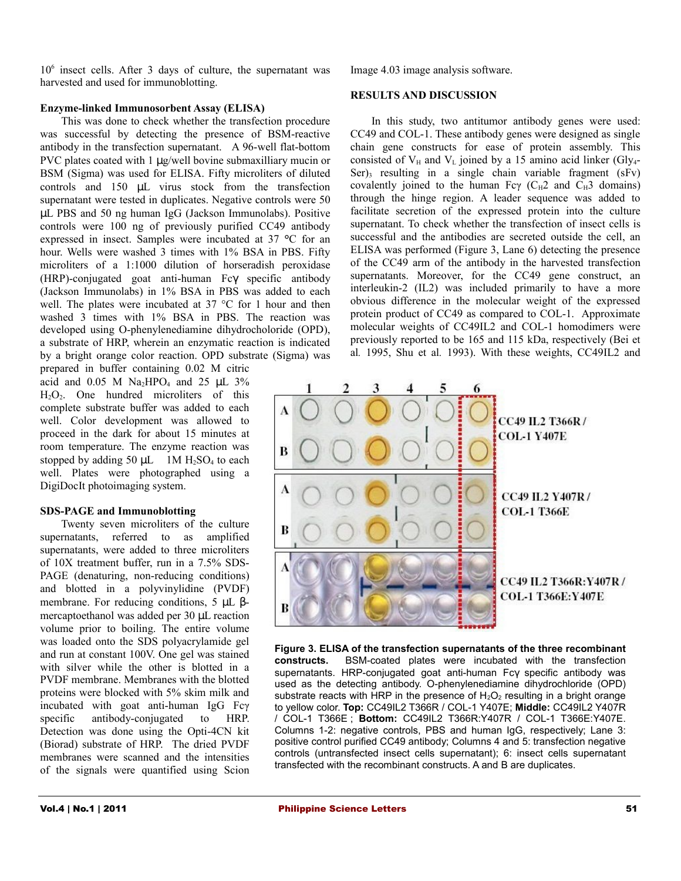10<sup>6</sup> insect cells. After 3 days of culture, the supernatant was harvested and used for immunoblotting.

# **Enzyme-linked Immunosorbent Assay (ELISA)**

This was done to check whether the transfection procedure was successful by detecting the presence of BSM-reactive antibody in the transfection supernatant. A 96-well flat-bottom PVC plates coated with 1  $\mu$ g/well bovine submaxilliary mucin or BSM (Sigma) was used for ELISA. Fifty microliters of diluted controls and 150 µL virus stock from the transfection supernatant were tested in duplicates. Negative controls were 50 µL PBS and 50 ng human IgG (Jackson Immunolabs). Positive controls were 100 ng of previously purified CC49 antibody expressed in insect. Samples were incubated at 37 **°**C for an hour. Wells were washed 3 times with 1% BSA in PBS. Fifty microliters of a 1:1000 dilution of horseradish peroxidase (HRP)-conjugated goat anti-human Fcγ specific antibody (Jackson Immunolabs) in 1% BSA in PBS was added to each well. The plates were incubated at 37 °C for 1 hour and then washed 3 times with 1% BSA in PBS. The reaction was developed using O-phenylenediamine dihydrocholoride (OPD), a substrate of HRP, wherein an enzymatic reaction is indicated by a bright orange color reaction. OPD substrate (Sigma) was

prepared in buffer containing 0.02 M citric acid and  $0.05$  M Na<sub>2</sub>HPO<sub>4</sub> and  $25$  µL  $3\%$  $H_2O_2$ . One hundred microliters of this complete substrate buffer was added to each well. Color development was allowed to proceed in the dark for about 15 minutes at room temperature. The enzyme reaction was stopped by adding 50  $\mu$ L 1M H<sub>2</sub>SO<sub>4</sub> to each well. Plates were photographed using a DigiDocIt photoimaging system.

# **SDS-PAGE and Immunoblotting**

Twenty seven microliters of the culture supernatants, referred to as amplified supernatants, were added to three microliters of 10X treatment buffer, run in a 7.5% SDS-PAGE (denaturing, non-reducing conditions) and blotted in a polyvinylidine (PVDF) membrane. For reducing conditions, 5 µL βmercaptoethanol was added per 30 µL reaction volume prior to boiling. The entire volume was loaded onto the SDS polyacrylamide gel and run at constant 100V. One gel was stained with silver while the other is blotted in a PVDF membrane. Membranes with the blotted proteins were blocked with 5% skim milk and incubated with goat anti-human IgG Fcγ specific antibody-conjugated to HRP. Detection was done using the Opti-4CN kit (Biorad) substrate of HRP. The dried PVDF membranes were scanned and the intensities of the signals were quantified using Scion

Image 4.03 image analysis software.

### **RESULTS AND DISCUSSION**

In this study, two antitumor antibody genes were used: CC49 and COL-1. These antibody genes were designed as single chain gene constructs for ease of protein assembly. This consisted of  $V_H$  and  $V_L$  joined by a 15 amino acid linker (Gly<sub>4</sub>-Ser) $\frac{1}{3}$  resulting in a single chain variable fragment (sFv) covalently joined to the human Fcγ ( $C_H$ 2 and  $C_H$ 3 domains) through the hinge region. A leader sequence was added to facilitate secretion of the expressed protein into the culture supernatant. To check whether the transfection of insect cells is successful and the antibodies are secreted outside the cell, an ELISA was performed (Figure 3, Lane 6) detecting the presence of the CC49 arm of the antibody in the harvested transfection supernatants. Moreover, for the CC49 gene construct, an interleukin-2 (IL2) was included primarily to have a more obvious difference in the molecular weight of the expressed protein product of CC49 as compared to COL-1. Approximate molecular weights of CC49IL2 and COL-1 homodimers were previously reported to be 165 and 115 kDa, respectively (Bei et al*.* 1995, Shu et al*.* 1993). With these weights, CC49IL2 and



**Figure 3. ELISA of the transfection supernatants of the three recombinant constructs.** BSM-coated plates were incubated with the transfection supernatants. HRP-conjugated goat anti-human Fcγ specific antibody was used as the detecting antibody. O-phenylenediamine dihydrochloride (OPD) substrate reacts with HRP in the presence of  $H_2O_2$  resulting in a bright orange to yellow color. **Top:** CC49IL2 T366R / COL-1 Y407E; **Middle:** CC49IL2 Y407R / COL-1 T366E ; **Bottom:** CC49IL2 T366R:Y407R / COL-1 T366E:Y407E. Columns 1-2: negative controls, PBS and human IgG, respectively; Lane 3: positive control purified CC49 antibody; Columns 4 and 5: transfection negative controls (untransfected insect cells supernatant); 6: insect cells supernatant transfected with the recombinant constructs. A and B are duplicates.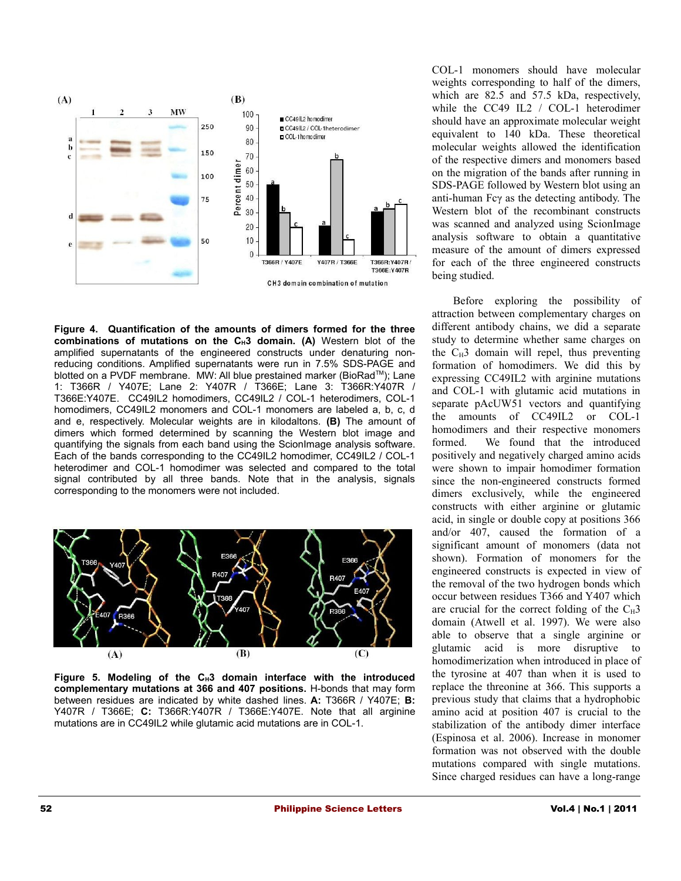

**Figure 4. Quantification of the amounts of dimers formed for the three combinations of mutations on the CH3 domain. (A)** Western blot of the amplified supernatants of the engineered constructs under denaturing nonreducing conditions. Amplified supernatants were run in 7.5% SDS-PAGE and blotted on a PVDF membrane. MW: All blue prestained marker (BioRad™); Lane 1: T366R / Y407E; Lane 2: Y407R / T366E; Lane 3: T366R:Y407R / T366E:Y407E. CC49IL2 homodimers, CC49IL2 / COL-1 heterodimers, COL-1 homodimers, CC49IL2 monomers and COL-1 monomers are labeled a, b, c, d and e, respectively. Molecular weights are in kilodaltons. **(B)** The amount of dimers which formed determined by scanning the Western blot image and quantifying the signals from each band using the ScionImage analysis software. Each of the bands corresponding to the CC49IL2 homodimer, CC49IL2 / COL-1 heterodimer and COL-1 homodimer was selected and compared to the total signal contributed by all three bands. Note that in the analysis, signals corresponding to the monomers were not included.



**Figure 5. Modeling of the CH3 domain interface with the introduced complementary mutations at 366 and 407 positions.** H-bonds that may form between residues are indicated by white dashed lines. **A:** T366R / Y407E; **B:** Y407R / T366E; **C:** T366R:Y407R / T366E:Y407E. Note that all arginine mutations are in CC49IL2 while glutamic acid mutations are in COL-1.

COL-1 monomers should have molecular weights corresponding to half of the dimers, which are 82.5 and 57.5 kDa, respectively, while the CC49 IL2 / COL-1 heterodimer should have an approximate molecular weight equivalent to 140 kDa. These theoretical molecular weights allowed the identification of the respective dimers and monomers based on the migration of the bands after running in SDS-PAGE followed by Western blot using an anti-human Fcγ as the detecting antibody. The Western blot of the recombinant constructs was scanned and analyzed using ScionImage analysis software to obtain a quantitative measure of the amount of dimers expressed for each of the three engineered constructs being studied.

Before exploring the possibility of attraction between complementary charges on different antibody chains, we did a separate study to determine whether same charges on the  $C_H3$  domain will repel, thus preventing formation of homodimers. We did this by expressing CC49IL2 with arginine mutations and COL-1 with glutamic acid mutations in separate pAcUW51 vectors and quantifying the amounts of CC49IL2 or COL-1 homodimers and their respective monomers formed. We found that the introduced positively and negatively charged amino acids were shown to impair homodimer formation since the non-engineered constructs formed dimers exclusively, while the engineered constructs with either arginine or glutamic acid, in single or double copy at positions 366 and/or 407, caused the formation of a significant amount of monomers (data not shown). Formation of monomers for the engineered constructs is expected in view of the removal of the two hydrogen bonds which occur between residues T366 and Y407 which are crucial for the correct folding of the  $C_H3$ domain (Atwell et al. 1997). We were also able to observe that a single arginine or glutamic acid is more disruptive to homodimerization when introduced in place of the tyrosine at 407 than when it is used to replace the threonine at 366. This supports a previous study that claims that a hydrophobic amino acid at position 407 is crucial to the stabilization of the antibody dimer interface (Espinosa et al. 2006). Increase in monomer formation was not observed with the double mutations compared with single mutations. Since charged residues can have a long-range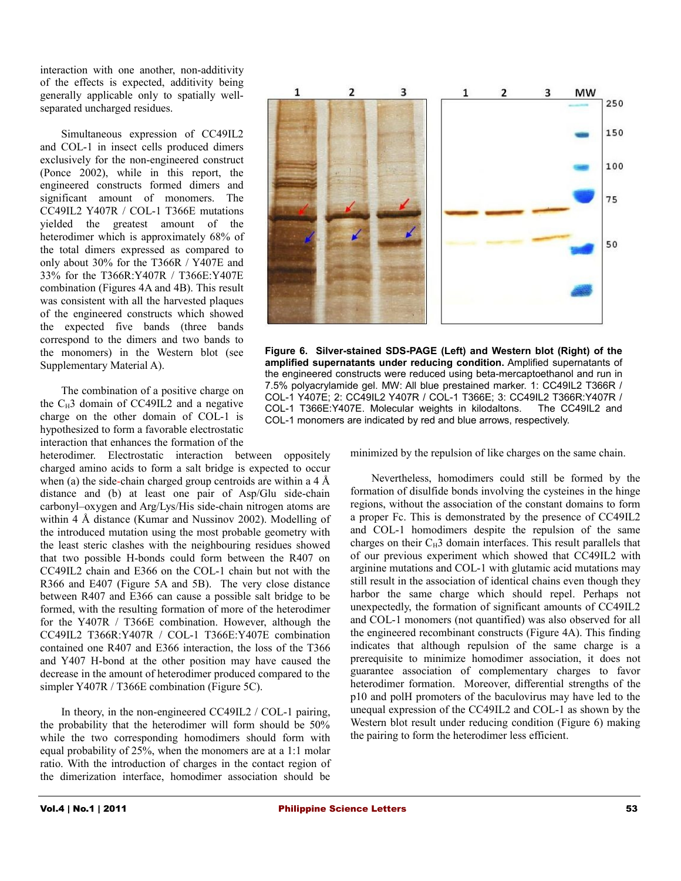interaction with one another, non-additivity of the effects is expected, additivity being generally applicable only to spatially wellseparated uncharged residues.

Simultaneous expression of CC49IL2 and COL-1 in insect cells produced dimers exclusively for the non-engineered construct (Ponce 2002), while in this report, the engineered constructs formed dimers and significant amount of monomers. The CC49IL2 Y407R / COL-1 T366E mutations yielded the greatest amount of the heterodimer which is approximately 68% of the total dimers expressed as compared to only about 30% for the T366R / Y407E and 33% for the T366R:Y407R / T366E:Y407E combination (Figures 4A and 4B). This result was consistent with all the harvested plaques of the engineered constructs which showed the expected five bands (three bands correspond to the dimers and two bands to the monomers) in the Western blot (see Supplementary Material A).

The combination of a positive charge on the  $C_H$ 3 domain of CC49IL2 and a negative charge on the other domain of COL-1 is hypothesized to form a favorable electrostatic interaction that enhances the formation of the

heterodimer. Electrostatic interaction between oppositely charged amino acids to form a salt bridge is expected to occur when (a) the side-chain charged group centroids are within a 4 Å distance and (b) at least one pair of Asp/Glu side-chain carbonyl–oxygen and Arg/Lys/His side-chain nitrogen atoms are within 4 Å distance (Kumar and Nussinov 2002). Modelling of the introduced mutation using the most probable geometry with the least steric clashes with the neighbouring residues showed that two possible H-bonds could form between the R407 on CC49IL2 chain and E366 on the COL-1 chain but not with the R366 and E407 (Figure 5A and 5B). The very close distance between R407 and E366 can cause a possible salt bridge to be formed, with the resulting formation of more of the heterodimer for the Y407R / T366E combination. However, although the CC49IL2 T366R:Y407R / COL-1 T366E:Y407E combination contained one R407 and E366 interaction, the loss of the T366 and Y407 H-bond at the other position may have caused the decrease in the amount of heterodimer produced compared to the simpler Y407R / T366E combination (Figure 5C).

In theory, in the non-engineered CC49IL2 / COL-1 pairing, the probability that the heterodimer will form should be 50% while the two corresponding homodimers should form with equal probability of 25%, when the monomers are at a 1:1 molar ratio. With the introduction of charges in the contact region of the dimerization interface, homodimer association should be



**Figure 6. Silver-stained SDS-PAGE (Left) and Western blot (Right) of the amplified supernatants under reducing condition.** Amplified supernatants of the engineered constructs were reduced using beta-mercaptoethanol and run in 7.5% polyacrylamide gel. MW: All blue prestained marker. 1: CC49IL2 T366R / COL-1 Y407E; 2: CC49IL2 Y407R / COL-1 T366E; 3: CC49IL2 T366R:Y407R / COL-1 T366E:Y407E. Molecular weights in kilodaltons. The CC49IL2 and COL-1 monomers are indicated by red and blue arrows, respectively.

minimized by the repulsion of like charges on the same chain.

Nevertheless, homodimers could still be formed by the formation of disulfide bonds involving the cysteines in the hinge regions, without the association of the constant domains to form a proper Fc. This is demonstrated by the presence of CC49IL2 and COL-1 homodimers despite the repulsion of the same charges on their  $C_H$ 3 domain interfaces. This result parallels that of our previous experiment which showed that CC49IL2 with arginine mutations and COL-1 with glutamic acid mutations may still result in the association of identical chains even though they harbor the same charge which should repel. Perhaps not unexpectedly, the formation of significant amounts of CC49IL2 and COL-1 monomers (not quantified) was also observed for all the engineered recombinant constructs (Figure 4A). This finding indicates that although repulsion of the same charge is a prerequisite to minimize homodimer association, it does not guarantee association of complementary charges to favor heterodimer formation. Moreover, differential strengths of the p10 and polH promoters of the baculovirus may have led to the unequal expression of the CC49IL2 and COL-1 as shown by the Western blot result under reducing condition (Figure 6) making the pairing to form the heterodimer less efficient.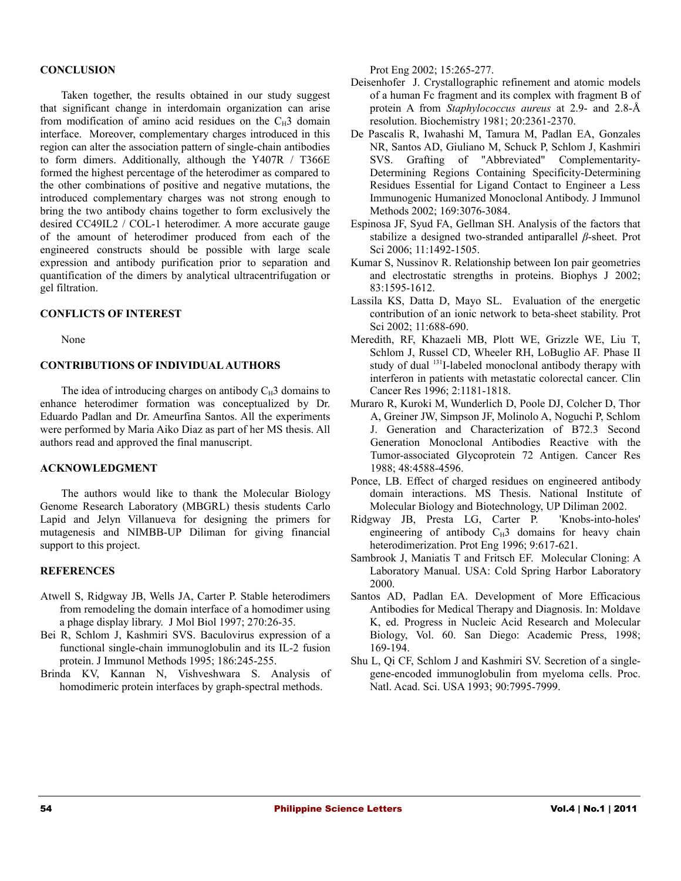# **CONCLUSION**

Taken together, the results obtained in our study suggest that significant change in interdomain organization can arise from modification of amino acid residues on the  $C_H3$  domain interface. Moreover, complementary charges introduced in this region can alter the association pattern of single-chain antibodies to form dimers. Additionally, although the Y407R / T366E formed the highest percentage of the heterodimer as compared to the other combinations of positive and negative mutations, the introduced complementary charges was not strong enough to bring the two antibody chains together to form exclusively the desired CC49IL2 / COL-1 heterodimer. A more accurate gauge of the amount of heterodimer produced from each of the engineered constructs should be possible with large scale expression and antibody purification prior to separation and quantification of the dimers by analytical ultracentrifugation or gel filtration.

#### **CONFLICTS OF INTEREST**

None

# **CONTRIBUTIONS OF INDIVIDUAL AUTHORS**

The idea of introducing charges on antibody  $C_H$ 3 domains to enhance heterodimer formation was conceptualized by Dr. Eduardo Padlan and Dr. Ameurfina Santos. All the experiments were performed by Maria Aiko Diaz as part of her MS thesis. All authors read and approved the final manuscript.

#### **ACKNOWLEDGMENT**

The authors would like to thank the Molecular Biology Genome Research Laboratory (MBGRL) thesis students Carlo Lapid and Jelyn Villanueva for designing the primers for mutagenesis and NIMBB-UP Diliman for giving financial support to this project.

# **REFERENCES**

- Atwell S, Ridgway JB, Wells JA, Carter P. Stable heterodimers from remodeling the domain interface of a homodimer using a phage display library. J Mol Biol 1997; 270:26-35.
- Bei R, Schlom J, Kashmiri SVS. Baculovirus expression of a functional single-chain immunoglobulin and its IL-2 fusion protein. J Immunol Methods 1995; 186:245-255.
- Brinda KV, Kannan N, Vishveshwara S. Analysis of homodimeric protein interfaces by graph-spectral methods.

Prot Eng 2002; 15:265-277.

- Deisenhofer J. Crystallographic refinement and atomic models of a human Fc fragment and its complex with fragment B of protein A from *Staphylococcus aureus* at 2.9- and 2.8-Å resolution. Biochemistry 1981; 20:2361-2370.
- De Pascalis R, Iwahashi M, Tamura M, Padlan EA, Gonzales NR, Santos AD, Giuliano M, Schuck P, Schlom J, Kashmiri SVS. Grafting of "Abbreviated" Complementarity-Determining Regions Containing Specificity-Determining Residues Essential for Ligand Contact to Engineer a Less Immunogenic Humanized Monoclonal Antibody. J Immunol Methods 2002; 169:3076-3084.
- Espinosa JF, Syud FA, Gellman SH. Analysis of the factors that stabilize a designed two-stranded antiparallel *β*-sheet. Prot Sci 2006; 11:1492-1505.
- Kumar S, Nussinov R. Relationship between Ion pair geometries and electrostatic strengths in proteins. Biophys J 2002; 83:1595-1612.
- Lassila KS, Datta D, Mayo SL. Evaluation of the energetic contribution of an ionic network to beta-sheet stability. Prot Sci 2002; 11:688-690.
- Meredith, RF, Khazaeli MB, Plott WE, Grizzle WE, Liu T, Schlom J, Russel CD, Wheeler RH, LoBuglio AF. Phase II study of dual <sup>131</sup>I-labeled monoclonal antibody therapy with interferon in patients with metastatic colorectal cancer. Clin Cancer Res 1996; 2:1181-1818.
- Muraro R, Kuroki M, Wunderlich D, Poole DJ, Colcher D, Thor A, Greiner JW, Simpson JF, Molinolo A, Noguchi P, Schlom J. Generation and Characterization of B72.3 Second Generation Monoclonal Antibodies Reactive with the Tumor-associated Glycoprotein 72 Antigen. Cancer Res 1988; 48:4588-4596.
- Ponce, LB. Effect of charged residues on engineered antibody domain interactions. MS Thesis. National Institute of Molecular Biology and Biotechnology, UP Diliman 2002.
- Ridgway JB, Presta LG, Carter P. 'Knobs-into-holes' engineering of antibody  $C_H3$  domains for heavy chain heterodimerization. Prot Eng 1996; 9:617-621.
- Sambrook J, Maniatis T and Fritsch EF. Molecular Cloning: A Laboratory Manual. USA: Cold Spring Harbor Laboratory 2000.
- Santos AD, Padlan EA. Development of More Efficacious Antibodies for Medical Therapy and Diagnosis. In: Moldave K, ed. Progress in Nucleic Acid Research and Molecular Biology, Vol. 60. San Diego: Academic Press, 1998; 169-194.
- Shu L, Qi CF, Schlom J and Kashmiri SV. Secretion of a singlegene-encoded immunoglobulin from myeloma cells. Proc. Natl. Acad. Sci. USA 1993; 90:7995-7999.